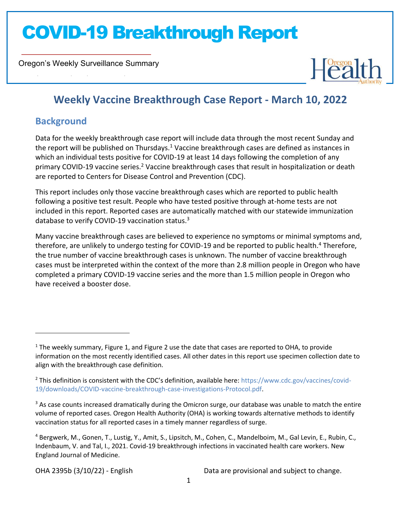Oregon's Weekly Surveillance Summary



### **Weekly Vaccine Breakthrough Case Report - March 10, 2022**

### **Background**

Novel Coronavirus (COVID-19)

Data for the weekly breakthrough case report will include data through the most recent Sunday and the report will be published on Thursdays.<sup>1</sup> Vaccine breakthrough cases are defined as instances in which an individual tests positive for COVID-19 at least 14 days following the completion of any primary COVID-19 vaccine series.<sup>2</sup> Vaccine breakthrough cases that result in hospitalization or death are reported to Centers for Disease Control and Prevention (CDC).

This report includes only those vaccine breakthrough cases which are reported to public health following a positive test result. People who have tested positive through at-home tests are not included in this report. Reported cases are automatically matched with our statewide immunization database to verify COVID-19 vaccination status.<sup>3</sup>

Many vaccine breakthrough cases are believed to experience no symptoms or minimal symptoms and, therefore, are unlikely to undergo testing for COVID-19 and be reported to public health.<sup>4</sup> Therefore, the true number of vaccine breakthrough cases is unknown. The number of vaccine breakthrough cases must be interpreted within the context of the more than 2.8 million people in Oregon who have completed a primary COVID-19 vaccine series and the more than 1.5 million people in Oregon who have received a booster dose.

 $1$  The weekly summary, Figure 1, and Figure 2 use the date that cases are reported to OHA, to provide information on the most recently identified cases. All other dates in this report use specimen collection date to align with the breakthrough case definition.

<sup>2</sup> This definition is consistent with the CDC's definition, available here: https://www.cdc.gov/vaccines/covid-19/downloads/COVID-vaccine-breakthrough-case-investigations-Protocol.pdf.

 $3$  As case counts increased dramatically during the Omicron surge, our database was unable to match the entire volume of reported cases. Oregon Health Authority (OHA) is working towards alternative methods to identify vaccination status for all reported cases in a timely manner regardless of surge.

<sup>4</sup> Bergwerk, M., Gonen, T., Lustig, Y., Amit, S., Lipsitch, M., Cohen, C., Mandelboim, M., Gal Levin, E., Rubin, C., Indenbaum, V. and Tal, I., 2021. Covid-19 breakthrough infections in vaccinated health care workers. New England Journal of Medicine.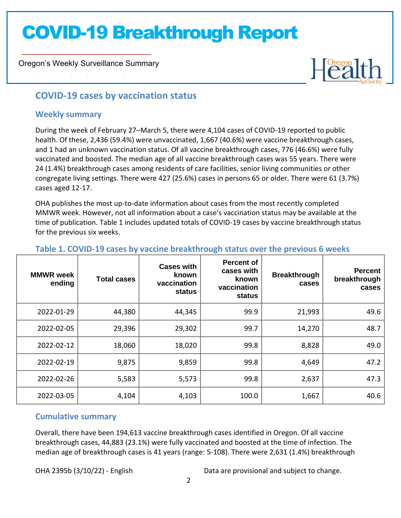Oregon's Weekly Surveillance Summary



### **COVID-19 cases by vaccination status**

#### **Weekly summary**

Novel Coronavirus (COVID-19)

During the week of February 27–March 5, there were 4,104 cases of COVID-19 reported to public health. Of these, 2,436 (59.4%) were unvaccinated, 1,667 (40.6%) were vaccine breakthrough cases, and 1 had an unknown vaccination status. Of all vaccine breakthrough cases, 776 (46.6%) were fully vaccinated and boosted. The median age of all vaccine breakthrough cases was 55 years. There were 24 (1.4%) breakthrough cases among residents of care facilities, senior living communities or other congregate living settings. There were 427 (25.6%) cases in persons 65 or older. There were 61 (3.7%) cases aged 12-17.

OHA publishes the most up-to-date information about cases from the most recently completed MMWR week. However, not all information about a case's vaccination status may be available at the time of publication. Table 1 includes updated totals of COVID-19 cases by vaccine breakthrough status for the previous six weeks.

| <b>MMWR</b> week<br>ending | <b>Total cases</b> | <b>Cases with</b><br>known<br>vaccination<br>status | <b>Percent of</b><br>cases with<br>known<br>vaccination<br>status | <b>Breakthrough</b><br>cases | <b>Percent</b><br>breakthrough<br>cases |
|----------------------------|--------------------|-----------------------------------------------------|-------------------------------------------------------------------|------------------------------|-----------------------------------------|
| 2022-01-29                 | 44,380             | 44,345                                              | 99.9                                                              | 21,993                       | 49.6                                    |
| 2022-02-05                 | 29,396             | 29,302                                              | 99.7                                                              | 14,270                       | 48.7                                    |
| 2022-02-12                 | 18,060             | 18,020                                              | 99.8                                                              | 8,828                        | 49.0                                    |
| 2022-02-19                 | 9,875              | 9,859                                               | 99.8                                                              | 4,649                        | 47.2                                    |
| 2022-02-26                 | 5,583              | 5,573                                               | 99.8                                                              | 2,637                        | 47.3                                    |
| 2022-03-05                 | 4,104              | 4,103                                               | 100.0                                                             | 1,667                        | 40.6                                    |

#### **Table 1. COVID-19 cases by vaccine breakthrough status over the previous 6 weeks**

#### **Cumulative summary**

Overall, there have been 194,613 vaccine breakthrough cases identified in Oregon. Of all vaccine breakthrough cases, 44,883 (23.1%) were fully vaccinated and boosted at the time of infection. The median age of breakthrough cases is 41 years (range: 5-108). There were 2,631 (1.4%) breakthrough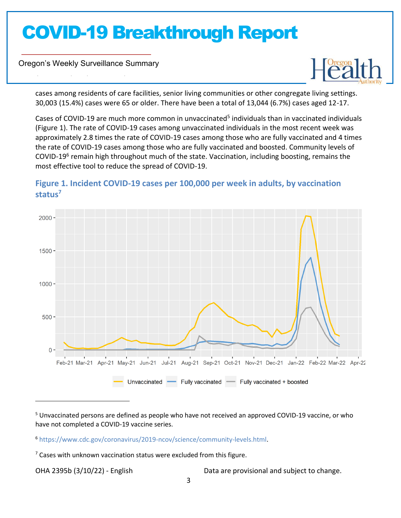Oregon's Weekly Surveillance Summary

Novel Coronavirus (COVID-19)



cases among residents of care facilities, senior living communities or other congregate living settings. 30,003 (15.4%) cases were 65 or older. There have been a total of 13,044 (6.7%) cases aged 12-17.

Cases of COVID-19 are much more common in unvaccinated<sup>5</sup> individuals than in vaccinated individuals (Figure 1). The rate of COVID-19 cases among unvaccinated individuals in the most recent week was approximately 2.8 times the rate of COVID-19 cases among those who are fully vaccinated and 4 times the rate of COVID-19 cases among those who are fully vaccinated and boosted. Community levels of COVID-19<sup>6</sup> remain high throughout much of the state. Vaccination, including boosting, remains the most effective tool to reduce the spread of COVID-19.



### **Figure 1. Incident COVID-19 cases per 100,000 per week in adults, by vaccination status<sup>7</sup>**

<sup>5</sup> Unvaccinated persons are defined as people who have not received an approved COVID-19 vaccine, or who have not completed a COVID-19 vaccine series.

<sup>6</sup> https://www.cdc.gov/coronavirus/2019-ncov/science/community-levels.html.

 $7$  Cases with unknown vaccination status were excluded from this figure.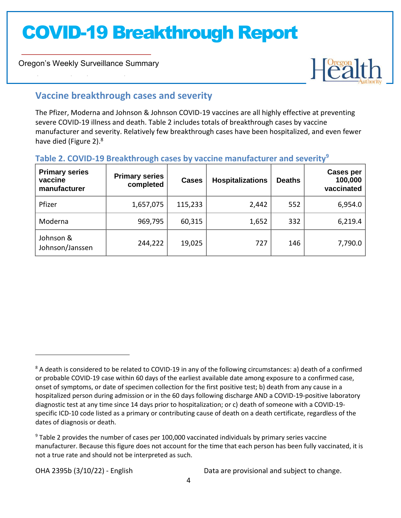Oregon's Weekly Surveillance Summary

Novel Coronavirus (COVID-19)



### **Vaccine breakthrough cases and severity**

The Pfizer, Moderna and Johnson & Johnson COVID-19 vaccines are all highly effective at preventing severe COVID-19 illness and death. Table 2 includes totals of breakthrough cases by vaccine manufacturer and severity. Relatively few breakthrough cases have been hospitalized, and even fewer have died (Figure 2).<sup>8</sup>

### **Table 2. COVID-19 Breakthrough cases by vaccine manufacturer and severity<sup>9</sup>**

| <b>Primary series</b><br>vaccine<br>manufacturer | <b>Primary series</b><br>completed | <b>Cases</b> | <b>Hospitalizations</b> | <b>Deaths</b> | <b>Cases per</b><br>100,000<br>vaccinated |
|--------------------------------------------------|------------------------------------|--------------|-------------------------|---------------|-------------------------------------------|
| Pfizer                                           | 1,657,075                          | 115,233      | 2,442                   | 552           | 6,954.0                                   |
| Moderna                                          | 969,795                            | 60,315       | 1,652                   | 332           | 6,219.4                                   |
| Johnson &<br>Johnson/Janssen                     | 244,222                            | 19,025       | 727                     | 146           | 7,790.0                                   |

<sup>&</sup>lt;sup>8</sup> A death is considered to be related to COVID-19 in any of the following circumstances: a) death of a confirmed or probable COVID-19 case within 60 days of the earliest available date among exposure to a confirmed case, onset of symptoms, or date of specimen collection for the first positive test; b) death from any cause in a hospitalized person during admission or in the 60 days following discharge AND a COVID-19-positive laboratory diagnostic test at any time since 14 days prior to hospitalization; or c) death of someone with a COVID-19 specific ICD-10 code listed as a primary or contributing cause of death on a death certificate, regardless of the dates of diagnosis or death.

 $9$  Table 2 provides the number of cases per 100,000 vaccinated individuals by primary series vaccine manufacturer. Because this figure does not account for the time that each person has been fully vaccinated, it is not a true rate and should not be interpreted as such.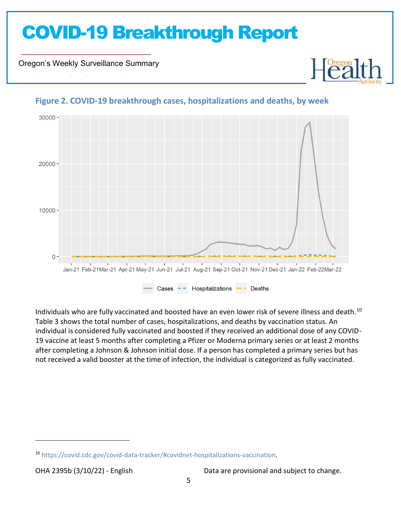Oregon's Weekly Surveillance Summary

Novel Coronavirus (COVID-19)



#### **Figure 2. COVID-19 breakthrough cases, hospitalizations and deaths, by week**

Individuals who are fully vaccinated and boosted have an even lower risk of severe illness and death.<sup>10</sup> Table 3 shows the total number of cases, hospitalizations, and deaths by vaccination status. An individual is considered fully vaccinated and boosted if they received an additional dose of any COVID-19 vaccine at least 5 months after completing a Pfizer or Moderna primary series or at least 2 months after completing a Johnson & Johnson initial dose. If a person has completed a primary series but has not received a valid booster at the time of infection, the individual is categorized as fully vaccinated.

<sup>10</sup> https://covid.cdc.gov/covid-data-tracker/#covidnet-hospitalizations-vaccination.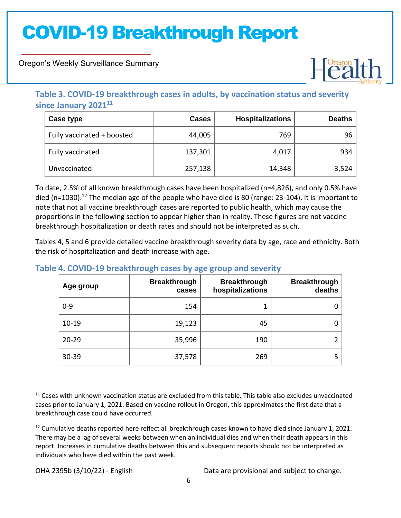Oregon's Weekly Surveillance Summary

Novel Coronavirus (COVID-19)



### **Table 3. COVID-19 breakthrough cases in adults, by vaccination status and severity since January 2021<sup>11</sup>**

| Case type                  | <b>Cases</b> | <b>Hospitalizations</b> | <b>Deaths</b> |
|----------------------------|--------------|-------------------------|---------------|
| Fully vaccinated + boosted | 44,005       | 769                     | 96            |
| Fully vaccinated           | 137,301      | 4,017                   | 934           |
| Unvaccinated               | 257,138      | 14,348                  | 3,524         |

To date, 2.5% of all known breakthrough cases have been hospitalized (n=4,826), and only 0.5% have died (n=1030).<sup>12</sup> The median age of the people who have died is 80 (range: 23-104). It is important to note that not all vaccine breakthrough cases are reported to public health, which may cause the proportions in the following section to appear higher than in reality. These figures are not vaccine breakthrough hospitalization or death rates and should not be interpreted as such.

Tables 4, 5 and 6 provide detailed vaccine breakthrough severity data by age, race and ethnicity. Both the risk of hospitalization and death increase with age.

| Age group | <b>Breakthrough</b><br>cases | <b>Breakthrough</b><br>hospitalizations | <b>Breakthrough</b><br>deaths |
|-----------|------------------------------|-----------------------------------------|-------------------------------|
| $0 - 9$   | 154                          |                                         | 0                             |
| $10 - 19$ | 19,123                       | 45                                      | 0                             |
| $20 - 29$ | 35,996                       | 190                                     |                               |
| 30-39     | 37,578                       | 269                                     | 5                             |

#### **Table 4. COVID-19 breakthrough cases by age group and severity**

<sup>&</sup>lt;sup>11</sup> Cases with unknown vaccination status are excluded from this table. This table also excludes unvaccinated cases prior to January 1, 2021. Based on vaccine rollout in Oregon, this approximates the first date that a breakthrough case could have occurred.

 $12$  Cumulative deaths reported here reflect all breakthrough cases known to have died since January 1, 2021. There may be a lag of several weeks between when an individual dies and when their death appears in this report. Increases in cumulative deaths between this and subsequent reports should not be interpreted as individuals who have died within the past week.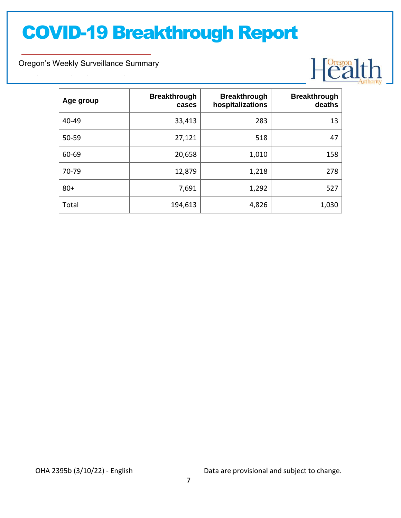Oregon's Weekly Surveillance Summary

Novel Coronavirus (COVID-19)



| Age group | <b>Breakthrough</b><br>cases | <b>Breakthrough</b><br>hospitalizations | <b>Breakthrough</b><br>deaths |
|-----------|------------------------------|-----------------------------------------|-------------------------------|
| 40-49     | 33,413                       | 283                                     | 13                            |
| 50-59     | 27,121                       | 518                                     | 47                            |
| 60-69     | 20,658                       | 1,010                                   | 158                           |
| 70-79     | 12,879                       | 1,218                                   | 278                           |
| $80+$     | 7,691                        | 1,292                                   | 527                           |
| Total     | 194,613                      | 4,826                                   | 1,030                         |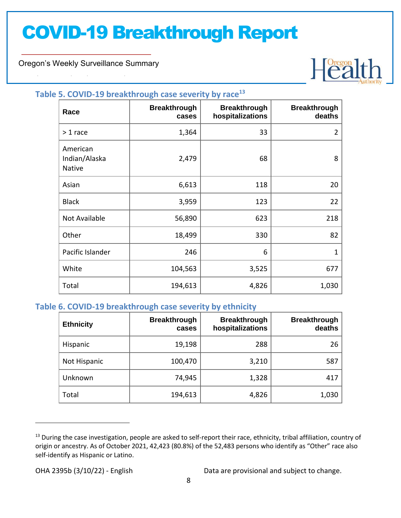Oregon's Weekly Surveillance Summary

Novel Coronavirus (COVID-19)



#### **Table 5. COVID-19 breakthrough case severity by race<sup>13</sup>**

| Race                                | <b>Breakthrough</b><br>cases | <b>Breakthrough</b><br>hospitalizations | <b>Breakthrough</b><br>deaths |
|-------------------------------------|------------------------------|-----------------------------------------|-------------------------------|
| $>1$ race                           | 1,364                        | 33                                      | 2                             |
| American<br>Indian/Alaska<br>Native | 2,479                        | 68                                      | 8                             |
| Asian                               | 6,613                        | 118                                     | 20                            |
| <b>Black</b>                        | 3,959                        | 123                                     | 22                            |
| Not Available                       | 56,890                       | 623                                     | 218                           |
| Other                               | 18,499                       | 330                                     | 82                            |
| Pacific Islander                    | 246                          | 6                                       | 1                             |
| White                               | 104,563                      | 3,525                                   | 677                           |
| Total                               | 194,613                      | 4,826                                   | 1,030                         |

#### **Table 6. COVID-19 breakthrough case severity by ethnicity**

| <b>Ethnicity</b> | <b>Breakthrough</b><br>cases | <b>Breakthrough</b><br>hospitalizations | <b>Breakthrough</b><br>deaths |
|------------------|------------------------------|-----------------------------------------|-------------------------------|
| Hispanic         | 19,198                       | 288                                     | 26                            |
| Not Hispanic     | 100,470                      | 3,210                                   | 587                           |
| Unknown          | 74,945                       | 1,328                                   | 417                           |
| Total            | 194,613                      | 4,826                                   | 1,030                         |

<sup>&</sup>lt;sup>13</sup> During the case investigation, people are asked to self-report their race, ethnicity, tribal affiliation, country of origin or ancestry. As of October 2021, 42,423 (80.8%) of the 52,483 persons who identify as "Other" race also self-identify as Hispanic or Latino.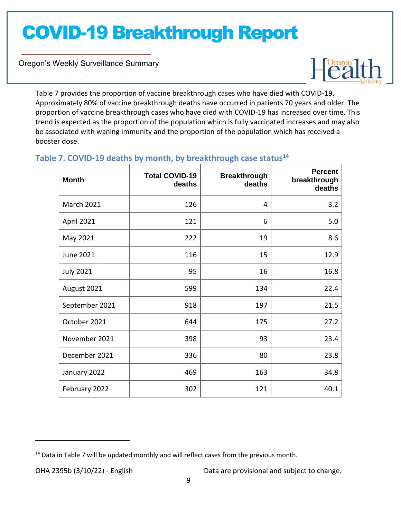Oregon's Weekly Surveillance Summary

Novel Coronavirus (COVID-19)



Table 7 provides the proportion of vaccine breakthrough cases who have died with COVID-19. Approximately 80% of vaccine breakthrough deaths have occurred in patients 70 years and older. The proportion of vaccine breakthrough cases who have died with COVID-19 has increased over time. This trend is expected as the proportion of the population which is fully vaccinated increases and may also be associated with waning immunity and the proportion of the population which has received a booster dose.

### **Table 7. COVID-19 deaths by month, by breakthrough case status<sup>14</sup>**

| <b>Month</b>      | <b>Total COVID-19</b><br>deaths | <b>Breakthrough</b><br>deaths | <b>Percent</b><br>breakthrough<br>deaths |
|-------------------|---------------------------------|-------------------------------|------------------------------------------|
| <b>March 2021</b> | 126                             | 4                             | 3.2                                      |
| April 2021        | 121                             | 6                             | 5.0                                      |
| May 2021          | 222                             | 19                            | 8.6                                      |
| June 2021         | 116                             | 15                            | 12.9                                     |
| <b>July 2021</b>  | 95                              | 16                            | 16.8                                     |
| August 2021       | 599                             | 134                           | 22.4                                     |
| September 2021    | 918                             | 197                           | 21.5                                     |
| October 2021      | 644                             | 175                           | 27.2                                     |
| November 2021     | 398                             | 93                            | 23.4                                     |
| December 2021     | 336                             | 80                            | 23.8                                     |
| January 2022      | 469                             | 163                           | 34.8                                     |
| February 2022     | 302                             | 121                           | 40.1                                     |

 $14$  Data in Table 7 will be updated monthly and will reflect cases from the previous month.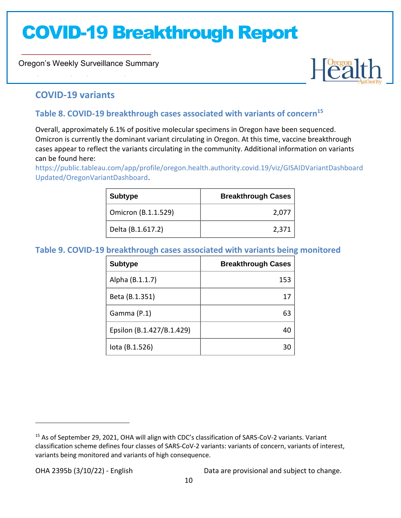Oregon's Weekly Surveillance Summary



### **COVID-19 variants**

Novel Coronavirus (COVID-19)

### **Table 8. COVID-19 breakthrough cases associated with variants of concern<sup>15</sup>**

Overall, approximately 6.1% of positive molecular specimens in Oregon have been sequenced. Omicron is currently the dominant variant circulating in Oregon. At this time, vaccine breakthrough cases appear to reflect the variants circulating in the community. Additional information on variants can be found here:

https://public.tableau.com/app/profile/oregon.health.authority.covid.19/viz/GISAIDVariantDashboard Updated/OregonVariantDashboard.

| <b>Subtype</b>      | <b>Breakthrough Cases</b> |
|---------------------|---------------------------|
| Omicron (B.1.1.529) | 2,077                     |
| Delta (B.1.617.2)   | 2,371                     |

#### **Table 9. COVID-19 breakthrough cases associated with variants being monitored**

| <b>Subtype</b>            | <b>Breakthrough Cases</b> |
|---------------------------|---------------------------|
| Alpha (B.1.1.7)           | 153                       |
| Beta (B.1.351)            |                           |
| Gamma (P.1)               | 63                        |
| Epsilon (B.1.427/B.1.429) |                           |
| lota (B.1.526)            |                           |

<sup>15</sup> As of September 29, 2021, OHA will align with CDC's classification of SARS-CoV-2 variants. Variant classification scheme defines four classes of SARS-CoV-2 variants: variants of concern, variants of interest, variants being monitored and variants of high consequence.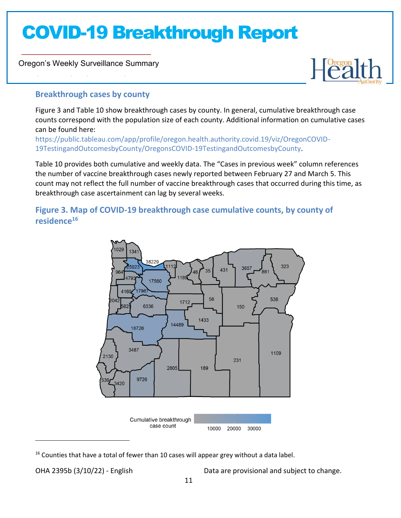Oregon's Weekly Surveillance Summary

Novel Coronavirus (COVID-19)



#### **Breakthrough cases by county**

Figure 3 and Table 10 show breakthrough cases by county. In general, cumulative breakthrough case counts correspond with the population size of each county. Additional information on cumulative cases can be found here:

https://public.tableau.com/app/profile/oregon.health.authority.covid.19/viz/OregonCOVID-19TestingandOutcomesbyCounty/OregonsCOVID-19TestingandOutcomesbyCounty.

Table 10 provides both cumulative and weekly data. The "Cases in previous week" column references the number of vaccine breakthrough cases newly reported between February 27 and March 5. This count may not reflect the full number of vaccine breakthrough cases that occurred during this time, as breakthrough case ascertainment can lag by several weeks.

### **Figure 3. Map of COVID-19 breakthrough case cumulative counts, by county of residence<sup>16</sup>**



<sup>&</sup>lt;sup>16</sup> Counties that have a total of fewer than 10 cases will appear grey without a data label.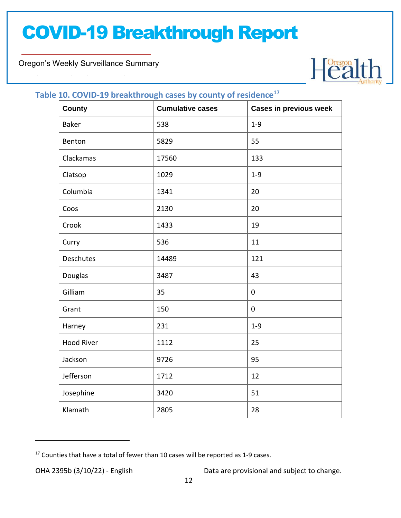Oregon's Weekly Surveillance Summary

Novel Coronavirus (COVID-19)



#### **Table 10. COVID-19 breakthrough cases by county of residence<sup>17</sup>**

| <b>County</b>     | $\overline{\phantom{a}}$<br><b>Cumulative cases</b> | <b>Cases in previous week</b> |
|-------------------|-----------------------------------------------------|-------------------------------|
| <b>Baker</b>      | 538                                                 | $1 - 9$                       |
| Benton            | 5829                                                | 55                            |
| Clackamas         | 17560                                               | 133                           |
| Clatsop           | 1029                                                | $1 - 9$                       |
| Columbia          | 1341                                                | 20                            |
| Coos              | 2130                                                | 20                            |
| Crook             | 1433                                                | 19                            |
| Curry             | 536                                                 | 11                            |
| Deschutes         | 14489                                               | 121                           |
| Douglas           | 3487                                                | 43                            |
| Gilliam           | 35                                                  | 0                             |
| Grant             | 150                                                 | $\pmb{0}$                     |
| Harney            | 231                                                 | $1 - 9$                       |
| <b>Hood River</b> | 1112                                                | 25                            |
| Jackson           | 9726                                                | 95                            |
| Jefferson         | 1712                                                | 12                            |
| Josephine         | 3420                                                | 51                            |
| Klamath           | 2805                                                | 28                            |

<sup>&</sup>lt;sup>17</sup> Counties that have a total of fewer than 10 cases will be reported as 1-9 cases.